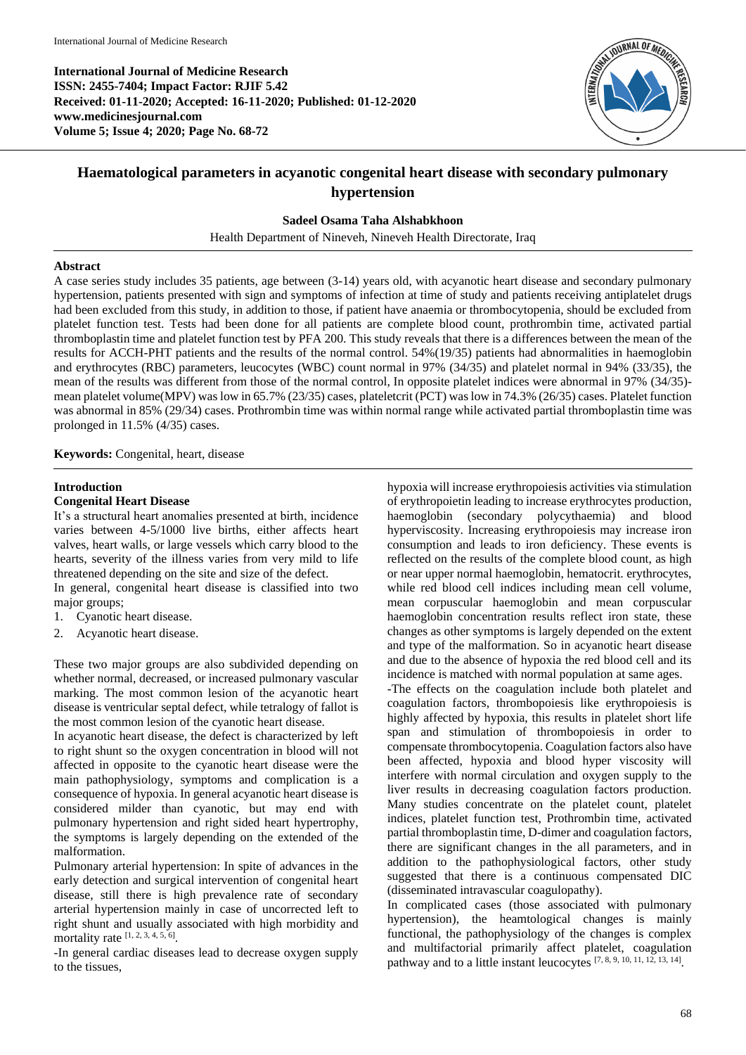**International Journal of Medicine Research ISSN: 2455-7404; Impact Factor: RJIF 5.42 Received: 01-11-2020; Accepted: 16-11-2020; Published: 01-12-2020 www.medicinesjournal.com Volume 5; Issue 4; 2020; Page No. 68-72**



# **Haematological parameters in acyanotic congenital heart disease with secondary pulmonary hypertension**

**Sadeel Osama Taha Alshabkhoon**

Health Department of Nineveh, Nineveh Health Directorate, Iraq

## **Abstract**

A case series study includes 35 patients, age between (3-14) years old, with acyanotic heart disease and secondary pulmonary hypertension, patients presented with sign and symptoms of infection at time of study and patients receiving antiplatelet drugs had been excluded from this study, in addition to those, if patient have anaemia or thrombocytopenia, should be excluded from platelet function test. Tests had been done for all patients are complete blood count, prothrombin time, activated partial thromboplastin time and platelet function test by PFA 200. This study reveals that there is a differences between the mean of the results for ACCH-PHT patients and the results of the normal control. 54%(19/35) patients had abnormalities in haemoglobin and erythrocytes (RBC) parameters, leucocytes (WBC) count normal in 97% (34/35) and platelet normal in 94% (33/35), the mean of the results was different from those of the normal control, In opposite platelet indices were abnormal in 97% (34/35) mean platelet volume(MPV) was low in 65.7% (23/35) cases, plateletcrit (PCT) was low in 74.3% (26/35) cases. Platelet function was abnormal in 85% (29/34) cases. Prothrombin time was within normal range while activated partial thromboplastin time was prolonged in 11.5% (4/35) cases.

**Keywords:** Congenital, heart, disease

# **Introduction**

# **Congenital Heart Disease**

It's a structural heart anomalies presented at birth, incidence varies between 4-5/1000 live births, either affects heart valves, heart walls, or large vessels which carry blood to the hearts, severity of the illness varies from very mild to life threatened depending on the site and size of the defect.

In general, congenital heart disease is classified into two major groups;

- 1. Cyanotic heart disease.
- Acyanotic heart disease.

These two major groups are also subdivided depending on whether normal, decreased, or increased pulmonary vascular marking. The most common lesion of the acyanotic heart disease is ventricular septal defect, while tetralogy of fallot is the most common lesion of the cyanotic heart disease.

In acyanotic heart disease, the defect is characterized by left to right shunt so the oxygen concentration in blood will not affected in opposite to the cyanotic heart disease were the main pathophysiology, symptoms and complication is a consequence of hypoxia. In general acyanotic heart disease is considered milder than cyanotic, but may end with pulmonary hypertension and right sided heart hypertrophy, the symptoms is largely depending on the extended of the malformation.

Pulmonary arterial hypertension: In spite of advances in the early detection and surgical intervention of congenital heart disease, still there is high prevalence rate of secondary arterial hypertension mainly in case of uncorrected left to right shunt and usually associated with high morbidity and mortality rate  $[1, 2, 3, 4, 5, 6]$ .

-In general cardiac diseases lead to decrease oxygen supply to the tissues,

hypoxia will increase erythropoiesis activities via stimulation of erythropoietin leading to increase erythrocytes production, haemoglobin (secondary polycythaemia) and blood hyperviscosity. Increasing erythropoiesis may increase iron consumption and leads to iron deficiency. These events is reflected on the results of the complete blood count, as high or near upper normal haemoglobin, hematocrit. erythrocytes, while red blood cell indices including mean cell volume, mean corpuscular haemoglobin and mean corpuscular haemoglobin concentration results reflect iron state, these changes as other symptoms is largely depended on the extent and type of the malformation. So in acyanotic heart disease and due to the absence of hypoxia the red blood cell and its incidence is matched with normal population at same ages.

-The effects on the coagulation include both platelet and coagulation factors, thrombopoiesis like erythropoiesis is highly affected by hypoxia, this results in platelet short life span and stimulation of thrombopoiesis in order to compensate thrombocytopenia. Coagulation factors also have been affected, hypoxia and blood hyper viscosity will interfere with normal circulation and oxygen supply to the liver results in decreasing coagulation factors production. Many studies concentrate on the platelet count, platelet indices, platelet function test, Prothrombin time, activated partial thromboplastin time, D-dimer and coagulation factors, there are significant changes in the all parameters, and in addition to the pathophysiological factors, other study suggested that there is a continuous compensated DIC (disseminated intravascular coagulopathy).

In complicated cases (those associated with pulmonary hypertension), the heamtological changes is mainly functional, the pathophysiology of the changes is complex and multifactorial primarily affect platelet, coagulation pathway and to a little instant leucocytes [7, 8, 9, 10, 11, 12, 13, 14].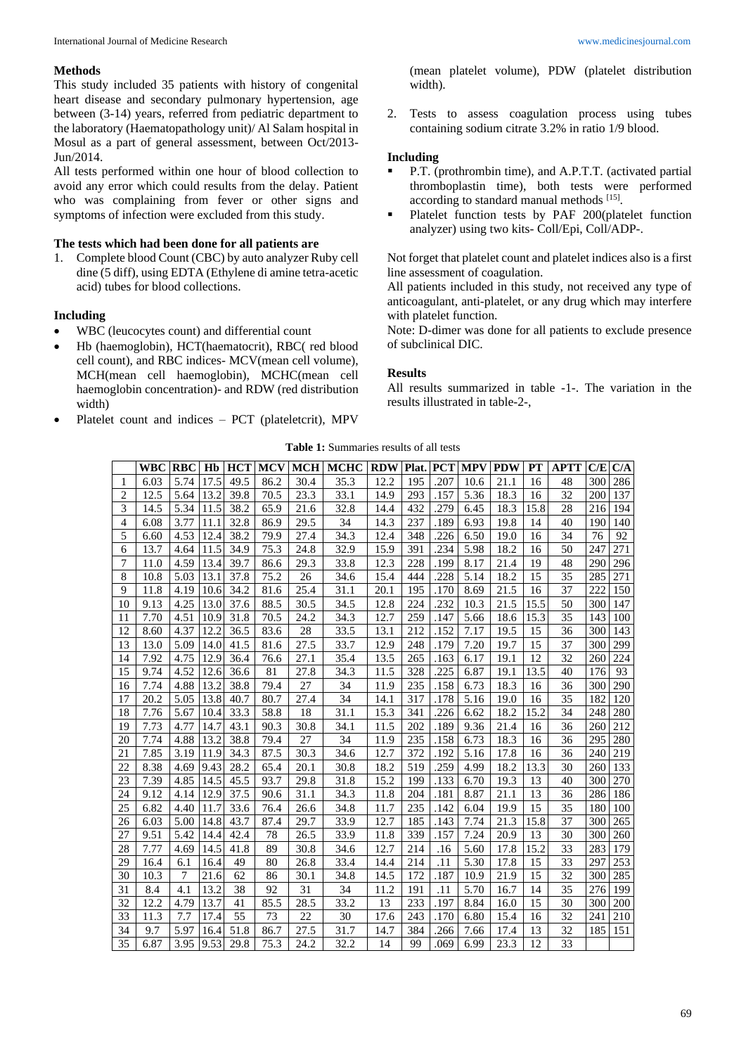## **Methods**

This study included 35 patients with history of congenital heart disease and secondary pulmonary hypertension, age between (3-14) years, referred from pediatric department to the laboratory (Haematopathology unit)/ Al Salam hospital in Mosul as a part of general assessment, between Oct/2013- Jun/2014.

All tests performed within one hour of blood collection to avoid any error which could results from the delay. Patient who was complaining from fever or other signs and symptoms of infection were excluded from this study.

# **The tests which had been done for all patients are**

1. Complete blood Count (CBC) by auto analyzer Ruby cell dine (5 diff), using EDTA (Ethylene di amine tetra-acetic acid) tubes for blood collections.

## **Including**

- WBC (leucocytes count) and differential count
- Hb (haemoglobin), HCT(haematocrit), RBC( red blood cell count), and RBC indices- MCV(mean cell volume), MCH(mean cell haemoglobin), MCHC(mean cell haemoglobin concentration)- and RDW (red distribution width)
- Platelet count and indices PCT (plateletcrit), MPV

(mean platelet volume), PDW (platelet distribution width).

2. Tests to assess coagulation process using tubes containing sodium citrate 3.2% in ratio 1/9 blood.

# **Including**

- P.T. (prothrombin time), and A.P.T.T. (activated partial thromboplastin time), both tests were performed according to standard manual methods [15].
- **•** Platelet function tests by PAF 200(platelet function analyzer) using two kits- Coll/Epi, Coll/ADP-.

Not forget that platelet count and platelet indices also is a first line assessment of coagulation.

All patients included in this study, not received any type of anticoagulant, anti-platelet, or any drug which may interfere with platelet function.

Note: D-dimer was done for all patients to exclude presence of subclinical DIC.

#### **Results**

All results summarized in table -1-. The variation in the results illustrated in table-2-,

**Table 1:** Summaries results of all tests

|                | <b>WBC</b> | <b>RBC</b> | Hb   | <b>HCT</b> | <b>MCV</b> | <b>MCH</b> | <b>MCHC</b> | <b>RDW</b> | Plat. | <b>PCT</b> | <b>MPV</b> | <b>PDW</b> | PT   | APTT | C/E | C/A |
|----------------|------------|------------|------|------------|------------|------------|-------------|------------|-------|------------|------------|------------|------|------|-----|-----|
| 1              | 6.03       | 5.74       | 17.5 | 49.5       | 86.2       | 30.4       | 35.3        | 12.2       | 195   | .207       | 10.6       | 21.1       | 16   | 48   | 300 | 286 |
| 2              | 12.5       | 5.64       | 13.2 | 39.8       | 70.5       | 23.3       | 33.1        | 14.9       | 293   | .157       | 5.36       | 18.3       | 16   | 32   | 200 | 137 |
| 3              | 14.5       | 5.34       | 11.5 | 38.2       | 65.9       | 21.6       | 32.8        | 14.4       | 432   | .279       | 6.45       | 18.3       | 15.8 | 28   | 216 | 194 |
| $\overline{4}$ | 6.08       | 3.77       | 11.1 | 32.8       | 86.9       | 29.5       | 34          | 14.3       | 237   | .189       | 6.93       | 19.8       | 14   | 40   | 190 | 140 |
| 5              | 6.60       | 4.53       | 12.4 | 38.2       | 79.9       | 27.4       | 34.3        | 12.4       | 348   | .226       | 6.50       | 19.0       | 16   | 34   | 76  | 92  |
| 6              | 13.7       | 4.64       | 11.5 | 34.9       | 75.3       | 24.8       | 32.9        | 15.9       | 391   | .234       | 5.98       | 18.2       | 16   | 50   | 247 | 271 |
| 7              | 11.0       | 4.59       | 13.4 | 39.7       | 86.6       | 29.3       | 33.8        | 12.3       | 228   | .199       | 8.17       | 21.4       | 19   | 48   | 290 | 296 |
| 8              | 10.8       | 5.03       | 13.1 | 37.8       | 75.2       | 26         | 34.6        | 15.4       | 444   | .228       | 5.14       | 18.2       | 15   | 35   | 285 | 271 |
| 9              | 11.8       | 4.19       | 10.6 | 34.2       | 81.6       | 25.4       | 31.1        | 20.1       | 195   | .170       | 8.69       | 21.5       | 16   | 37   | 222 | 150 |
| 10             | 9.13       | 4.25       | 13.0 | 37.6       | 88.5       | 30.5       | 34.5        | 12.8       | 224   | .232       | 10.3       | 21.5       | 15.5 | 50   | 300 | 147 |
| 11             | 7.70       | 4.51       | 10.9 | 31.8       | 70.5       | 24.2       | 34.3        | 12.7       | 259   | .147       | 5.66       | 18.6       | 15.3 | 35   | 143 | 100 |
| 12             | 8.60       | 4.37       | 12.2 | 36.5       | 83.6       | 28         | 33.5        | 13.1       | 212   | .152       | 7.17       | 19.5       | 15   | 36   | 300 | 143 |
| 13             | 13.0       | 5.09       | 14.0 | 41.5       | 81.6       | 27.5       | 33.7        | 12.9       | 248   | .179       | 7.20       | 19.7       | 15   | 37   | 300 | 299 |
| 14             | 7.92       | 4.75       | 12.9 | 36.4       | 76.6       | 27.1       | 35.4        | 13.5       | 265   | .163       | 6.17       | 19.1       | 12   | 32   | 260 | 224 |
| 15             | 9.74       | 4.52       | 12.6 | 36.6       | 81         | 27.8       | 34.3        | 11.5       | 328   | .225       | 6.87       | 19.1       | 13.5 | 40   | 176 | 93  |
| 16             | 7.74       | 4.88       | 13.2 | 38.8       | 79.4       | 27         | 34          | 11.9       | 235   | .158       | 6.73       | 18.3       | 16   | 36   | 300 | 290 |
| 17             | 20.2       | 5.05       | 13.8 | 40.7       | 80.7       | 27.4       | 34          | 14.1       | 317   | .178       | 5.16       | 19.0       | 16   | 35   | 182 | 120 |
| 18             | 7.76       | 5.67       | 10.4 | 33.3       | 58.8       | 18         | 31.1        | 15.3       | 341   | .226       | 6.62       | 18.2       | 15.2 | 34   | 248 | 280 |
| 19             | 7.73       | 4.77       | 14.7 | 43.1       | 90.3       | 30.8       | 34.1        | 11.5       | 202   | .189       | 9.36       | 21.4       | 16   | 36   | 260 | 212 |
| 20             | 7.74       | 4.88       | 13.2 | 38.8       | 79.4       | 27         | 34          | 11.9       | 235   | .158       | 6.73       | 18.3       | 16   | 36   | 295 | 280 |
| 21             | 7.85       | 3.19       | 11.9 | 34.3       | 87.5       | 30.3       | 34.6        | 12.7       | 372   | .192       | 5.16       | 17.8       | 16   | 36   | 240 | 219 |
| 22             | 8.38       | 4.69       | 9.43 | 28.2       | 65.4       | 20.1       | 30.8        | 18.2       | 519   | .259       | 4.99       | 18.2       | 13.3 | 30   | 260 | 133 |
| 23             | 7.39       | 4.85       | 14.5 | 45.5       | 93.7       | 29.8       | 31.8        | 15.2       | 199   | .133       | 6.70       | 19.3       | 13   | 40   | 300 | 270 |
| 24             | 9.12       | 4.14       | 12.9 | 37.5       | 90.6       | 31.1       | 34.3        | 11.8       | 204   | .181       | 8.87       | 21.1       | 13   | 36   | 286 | 186 |
| 25             | 6.82       | 4.40       | 11.7 | 33.6       | 76.4       | 26.6       | 34.8        | 11.7       | 235   | .142       | 6.04       | 19.9       | 15   | 35   | 180 | 100 |
| 26             | 6.03       | 5.00       | 14.8 | 43.7       | 87.4       | 29.7       | 33.9        | 12.7       | 185   | .143       | 7.74       | 21.3       | 15.8 | 37   | 300 | 265 |
| 27             | 9.51       | 5.42       | 14.4 | 42.4       | 78         | 26.5       | 33.9        | 11.8       | 339   | .157       | 7.24       | 20.9       | 13   | 30   | 300 | 260 |
| 28             | 7.77       | 4.69       | 14.5 | 41.8       | 89         | 30.8       | 34.6        | 12.7       | 214   | .16        | 5.60       | 17.8       | 15.2 | 33   | 283 | 179 |
| 29             | 16.4       | 6.1        | 16.4 | 49         | 80         | 26.8       | 33.4        | 14.4       | 214   | .11        | 5.30       | 17.8       | 15   | 33   | 297 | 253 |
| 30             | 10.3       | 7          | 21.6 | 62         | 86         | 30.1       | 34.8        | 14.5       | 172   | .187       | 10.9       | 21.9       | 15   | 32   | 300 | 285 |
| 31             | 8.4        | 4.1        | 13.2 | 38         | 92         | 31         | 34          | 11.2       | 191   | .11        | 5.70       | 16.7       | 14   | 35   | 276 | 199 |
| 32             | 12.2       | 4.79       | 13.7 | 41         | 85.5       | 28.5       | 33.2        | 13         | 233   | .197       | 8.84       | 16.0       | 15   | 30   | 300 | 200 |
| 33             | 11.3       | 7.7        | 17.4 | 55         | 73         | 22         | 30          | 17.6       | 243   | .170       | 6.80       | 15.4       | 16   | 32   | 241 | 210 |
| 34             | 9.7        | 5.97       | 16.4 | 51.8       | 86.7       | 27.5       | 31.7        | 14.7       | 384   | 266        | 7.66       | 17.4       | 13   | 32   | 185 | 151 |
| 35             | 6.87       | 3.95       | 9.53 | 29.8       | 75.3       | 24.2       | 32.2        | 14         | 99    | .069       | 6.99       | 23.3       | 12   | 33   |     |     |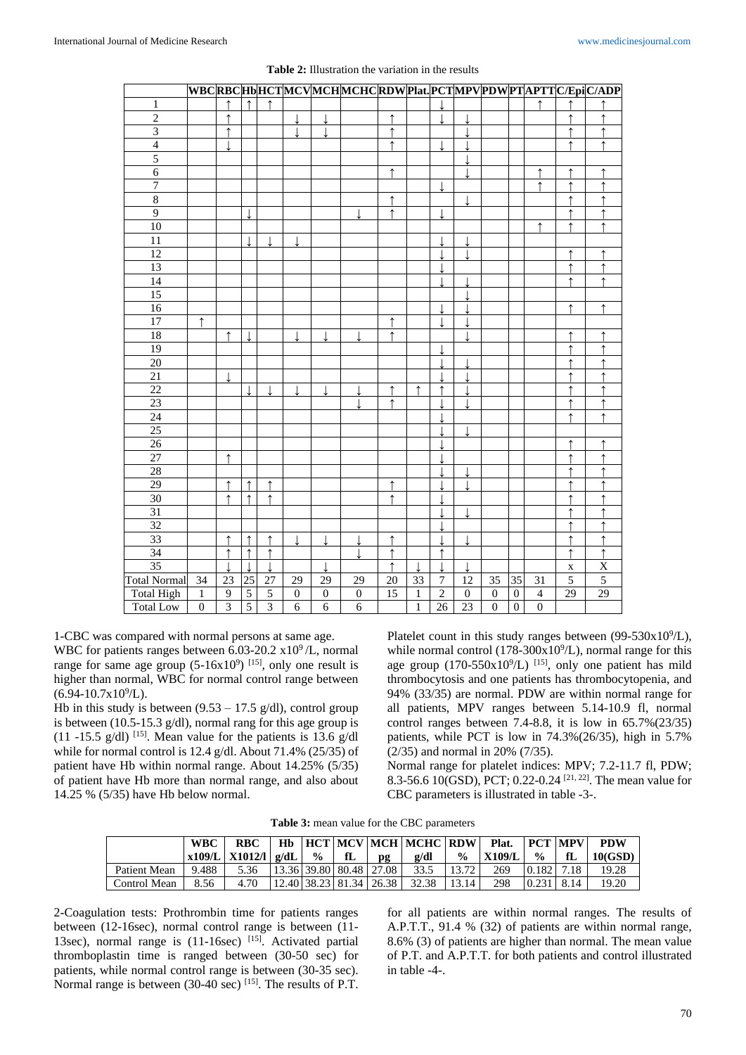|                         |                  |                |                 |                |                  |                  |                  |            |              |                          |                  |                  |                  |                |                 | WBCRBCHbHCTMCVMCHMCHCRDWPlat.PCTMPVPDWPTAPTTC/EpiC/ADP |
|-------------------------|------------------|----------------|-----------------|----------------|------------------|------------------|------------------|------------|--------------|--------------------------|------------------|------------------|------------------|----------------|-----------------|--------------------------------------------------------|
| $\mathbf{1}$            |                  | $\uparrow$     | $\uparrow$      |                |                  |                  |                  |            |              |                          |                  |                  |                  |                |                 |                                                        |
| $\overline{2}$          |                  | $\uparrow$     |                 |                |                  |                  |                  | $\uparrow$ |              | $\overline{\phantom{a}}$ | $\overline{1}$   |                  |                  |                | $\uparrow$      | $\uparrow$                                             |
| $\overline{\mathbf{3}}$ |                  | $\uparrow$     |                 |                | $\mathbf{I}$     | $\overline{1}$   |                  | $\uparrow$ |              |                          |                  |                  |                  |                | $\uparrow$      | $\uparrow$                                             |
| $\overline{4}$          |                  |                |                 |                |                  |                  |                  | $\uparrow$ |              |                          |                  |                  |                  |                | ↑               | $\uparrow$                                             |
| $\overline{5}$          |                  |                |                 |                |                  |                  |                  |            |              |                          |                  |                  |                  |                |                 |                                                        |
| $\sqrt{6}$              |                  |                |                 |                |                  |                  |                  | ↑          |              |                          | T                |                  |                  | $\uparrow$     | ↑               |                                                        |
| $\overline{7}$          |                  |                |                 |                |                  |                  |                  |            |              |                          |                  |                  |                  | $\uparrow$     | $\uparrow$      |                                                        |
| $\,8\,$                 |                  |                |                 |                |                  |                  |                  |            |              |                          |                  |                  |                  |                |                 |                                                        |
| $\overline{9}$          |                  |                |                 |                |                  |                  |                  | ↑          |              |                          |                  |                  |                  |                | ↑               |                                                        |
| $\overline{10}$         |                  |                |                 |                |                  |                  |                  |            |              |                          |                  |                  |                  | ↑              | ↑               | ↑                                                      |
| 11                      |                  |                |                 |                |                  |                  |                  |            |              |                          |                  |                  |                  |                |                 |                                                        |
| 12                      |                  |                |                 |                |                  |                  |                  |            |              |                          |                  |                  |                  |                | ↑               |                                                        |
| 13                      |                  |                |                 |                |                  |                  |                  |            |              |                          |                  |                  |                  |                | ↑               |                                                        |
| $\overline{14}$         |                  |                |                 |                |                  |                  |                  |            |              | $\overline{\phantom{a}}$ |                  |                  |                  |                | ↑               | ↑                                                      |
| $\overline{15}$         |                  |                |                 |                |                  |                  |                  |            |              |                          |                  |                  |                  |                |                 |                                                        |
| 16                      |                  |                |                 |                |                  |                  |                  |            |              |                          |                  |                  |                  |                | $\uparrow$      | $\uparrow$                                             |
| 17                      | $\uparrow$       |                |                 |                |                  |                  |                  | $\uparrow$ |              | $\overline{\phantom{a}}$ |                  |                  |                  |                |                 |                                                        |
| 18                      |                  | $\uparrow$     |                 |                |                  |                  |                  | $\uparrow$ |              |                          |                  |                  |                  |                | ↑               |                                                        |
| 19                      |                  |                |                 |                |                  |                  |                  |            |              |                          |                  |                  |                  |                | ↑               |                                                        |
| 20                      |                  |                |                 |                |                  |                  |                  |            |              |                          |                  |                  |                  |                | ↑               |                                                        |
| $\overline{21}$         |                  |                |                 |                |                  |                  |                  |            |              |                          |                  |                  |                  |                |                 |                                                        |
| 22                      |                  |                |                 |                |                  |                  |                  | ↑          | ↑            | ↑                        |                  |                  |                  |                | $\uparrow$      |                                                        |
| $\overline{23}$         |                  |                |                 |                |                  |                  |                  | ↑          |              |                          |                  |                  |                  |                | ↑               |                                                        |
| 24                      |                  |                |                 |                |                  |                  |                  |            |              |                          |                  |                  |                  |                |                 |                                                        |
| 25                      |                  |                |                 |                |                  |                  |                  |            |              |                          |                  |                  |                  |                |                 |                                                        |
| 26                      |                  |                |                 |                |                  |                  |                  |            |              |                          |                  |                  |                  |                | $\uparrow$      |                                                        |
| 27                      |                  | $\uparrow$     |                 |                |                  |                  |                  |            |              |                          |                  |                  |                  |                | $\uparrow$      |                                                        |
| 28                      |                  |                |                 |                |                  |                  |                  |            |              |                          |                  |                  |                  |                | $\uparrow$      | ↑                                                      |
| 29                      |                  | $\uparrow$     | $\uparrow$      | $\uparrow$     |                  |                  |                  | ↑          |              |                          |                  |                  |                  |                | ↑               | ↑                                                      |
| 30                      |                  | $\uparrow$     | $\uparrow$      | $\uparrow$     |                  |                  |                  | ↑          |              |                          |                  |                  |                  |                | $\uparrow$      | ↑                                                      |
| $\overline{31}$         |                  |                |                 |                |                  |                  |                  |            |              |                          |                  |                  |                  |                |                 |                                                        |
| $\overline{32}$         |                  |                |                 |                |                  |                  |                  |            |              |                          |                  |                  |                  |                | ↑               |                                                        |
| 33                      |                  | $\uparrow$     | $\uparrow$      | ↑              | T                | T                |                  | ↑          |              |                          | T                |                  |                  |                | ↑               |                                                        |
| 34                      |                  |                | ↑               |                |                  |                  |                  | ↑          |              | ↑                        |                  |                  |                  |                |                 |                                                        |
| 35                      |                  |                |                 |                |                  |                  |                  | ↑          |              |                          |                  |                  |                  |                | $\mathbf X$     | $\mathbf X$                                            |
| <b>Total Normal</b>     | $\overline{34}$  | 23             | $\overline{25}$ | 27             | 29               | 29               | 29               | 20         | 33           | $\tau$                   | 12               | 35               | 35               | 31             | $\overline{5}$  | $\overline{5}$                                         |
| <b>Total High</b>       | $\mathbf{1}$     | $\mathbf{9}$   | $\overline{5}$  | $\overline{5}$ | $\boldsymbol{0}$ | $\boldsymbol{0}$ | $\boldsymbol{0}$ | 15         | 1            | $\overline{2}$           | $\boldsymbol{0}$ | $\boldsymbol{0}$ | $\boldsymbol{0}$ | $\overline{4}$ | $\overline{29}$ | $\overline{29}$                                        |
| <b>Total Low</b>        | $\boldsymbol{0}$ | $\overline{3}$ | $\overline{5}$  | $\overline{3}$ | $\overline{6}$   | $\overline{6}$   | $\overline{6}$   |            | $\mathbf{1}$ | $\overline{26}$          | 23               | $\overline{0}$   | $\overline{0}$   | $\overline{0}$ |                 |                                                        |

| <b>Table 2:</b> Illustration the variation in the results |  |  |  |  |  |
|-----------------------------------------------------------|--|--|--|--|--|
|-----------------------------------------------------------|--|--|--|--|--|

1-CBC was compared with normal persons at same age. WBC for patients ranges between  $6.03-20.2 \times 10^9$  /L, normal range for same age group  $(5-16x10^9)$  <sup>[15]</sup>, only one result is

higher than normal, WBC for normal control range between  $(6.94 - 10.7 \times 10^9$ /L).

Hb in this study is between  $(9.53 - 17.5 \text{ g/dl})$ , control group is between (10.5-15.3 g/dl), normal rang for this age group is (11 -15.5 g/dl)  $^{[15]}$ . Mean value for the patients is 13.6 g/dl while for normal control is 12.4 g/dl. About 71.4% (25/35) of patient have Hb within normal range. About 14.25% (5/35) of patient have Hb more than normal range, and also about 14.25 % (5/35) have Hb below normal.

Platelet count in this study ranges between  $(99-530x10^9/L)$ , while normal control ( $178-300x10^9/L$ ), normal range for this age group  $(170-550x10^9/L)$  [15], only one patient has mild thrombocytosis and one patients has thrombocytopenia, and 94% (33/35) are normal. PDW are within normal range for all patients, MPV ranges between 5.14-10.9 fl, normal control ranges between 7.4-8.8, it is low in 65.7%(23/35) patients, while PCT is low in 74.3%(26/35), high in 5.7% (2/35) and normal in 20% (7/35).

Normal range for platelet indices: MPV; 7.2-11.7 fl, PDW; 8.3-56.6 10(GSD), PCT; 0.22-0.24 [21, 22]. The mean value for CBC parameters is illustrated in table -3-.

|  | <b>Table 3:</b> mean value for the CBC parameters |  |
|--|---------------------------------------------------|--|
|--|---------------------------------------------------|--|

|              | <b>WBC</b> | RBC<br>$x109/L$   $X1012/l$   $g/dL$ | $\frac{6}{10}$ | fL | pg | Hb   HCT   MCV   MCH   MCHC   RDW   Plat.   PCT   MPV  <br>$\mathbf{g}/\mathbf{dl}$ | $\frac{6}{9}$ | X109/L | $\frac{0}{0}$ | fL           | <b>PDW</b><br>10(GSD) |
|--------------|------------|--------------------------------------|----------------|----|----|-------------------------------------------------------------------------------------|---------------|--------|---------------|--------------|-----------------------|
| Patient Mean | 9.488      |                                      |                |    |    | 5.36   13.36   39.80   80.48   27.08   33.5   13.72                                 |               | 269    |               | $0.182$ 7.18 | 19.28                 |
| Control Mean | 8.56       | 4.70                                 |                |    |    | $12.40$   38.23   81.34   26.38   32.38   13.14                                     |               | 298    |               | $0.231$ 8.14 | 19.20                 |

2-Coagulation tests: Prothrombin time for patients ranges between (12-16sec), normal control range is between (11- 13sec), normal range is  $(11-16\sec)$  [15]. Activated partial thromboplastin time is ranged between (30-50 sec) for patients, while normal control range is between (30-35 sec). Normal range is between  $(30-40 \text{ sec})$  [15]. The results of P.T.

for all patients are within normal ranges. The results of A.P.T.T., 91.4 % (32) of patients are within normal range, 8.6% (3) of patients are higher than normal. The mean value of P.T. and A.P.T.T. for both patients and control illustrated in table -4-.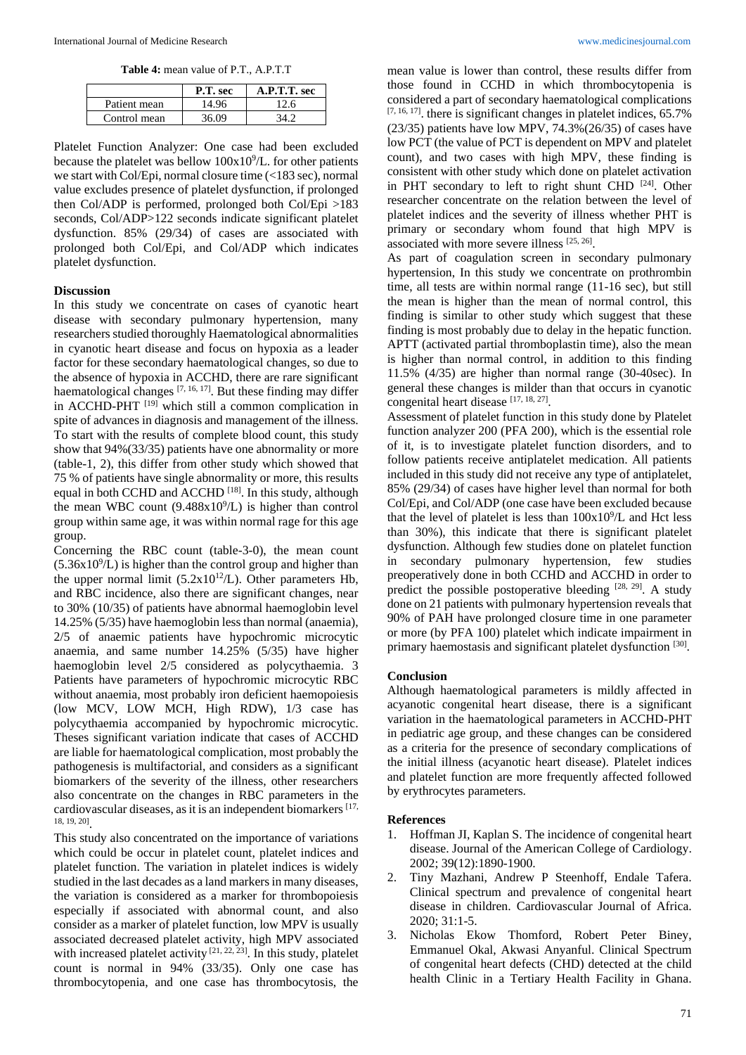**Table 4:** mean value of P.T., A.P.T.T

|              | P.T. sec | A.P.T.T. sec |
|--------------|----------|--------------|
| Patient mean | 14.96    | 12.6         |
| Control mean | 36.09    | 34 J         |

Platelet Function Analyzer: One case had been excluded because the platelet was bellow  $100x10^9/L$ . for other patients we start with Col/Epi, normal closure time (<183 sec), normal value excludes presence of platelet dysfunction, if prolonged then Col/ADP is performed, prolonged both Col/Epi >183 seconds, Col/ADP>122 seconds indicate significant platelet dysfunction. 85% (29/34) of cases are associated with prolonged both Col/Epi, and Col/ADP which indicates platelet dysfunction.

### **Discussion**

In this study we concentrate on cases of cyanotic heart disease with secondary pulmonary hypertension, many researchers studied thoroughly Haematological abnormalities in cyanotic heart disease and focus on hypoxia as a leader factor for these secondary haematological changes, so due to the absence of hypoxia in ACCHD, there are rare significant haematological changes  $[7, 16, 17]$ . But these finding may differ in ACCHD-PHT [19] which still a common complication in spite of advances in diagnosis and management of the illness. To start with the results of complete blood count, this study show that 94%(33/35) patients have one abnormality or more (table-1, 2), this differ from other study which showed that 75 % of patients have single abnormality or more, this results equal in both CCHD and ACCHD  $[18]$ . In this study, although the mean WBC count  $(9.488 \times 10^{9}/L)$  is higher than control group within same age, it was within normal rage for this age group.

Concerning the RBC count (table-3-0), the mean count  $(5.36x10<sup>9</sup>/L)$  is higher than the control group and higher than the upper normal limit  $(5.2x10^{12}/L)$ . Other parameters Hb, and RBC incidence, also there are significant changes, near to 30% (10/35) of patients have abnormal haemoglobin level 14.25% (5/35) have haemoglobin less than normal (anaemia), 2/5 of anaemic patients have hypochromic microcytic anaemia, and same number 14.25% (5/35) have higher haemoglobin level 2/5 considered as polycythaemia. 3 Patients have parameters of hypochromic microcytic RBC without anaemia, most probably iron deficient haemopoiesis (low MCV, LOW MCH, High RDW), 1/3 case has polycythaemia accompanied by hypochromic microcytic. Theses significant variation indicate that cases of ACCHD are liable for haematological complication, most probably the pathogenesis is multifactorial, and considers as a significant biomarkers of the severity of the illness, other researchers also concentrate on the changes in RBC parameters in the cardiovascular diseases, as it is an independent biomarkers [17, 18, 19, 20] .

This study also concentrated on the importance of variations which could be occur in platelet count, platelet indices and platelet function. The variation in platelet indices is widely studied in the last decades as a land markers in many diseases, the variation is considered as a marker for thrombopoiesis especially if associated with abnormal count, and also consider as a marker of platelet function, low MPV is usually associated decreased platelet activity, high MPV associated with increased platelet activity [21, 22, 23]. In this study, platelet count is normal in 94% (33/35). Only one case has thrombocytopenia, and one case has thrombocytosis, the

mean value is lower than control, these results differ from those found in CCHD in which thrombocytopenia is considered a part of secondary haematological complications  $[7, 16, 17]$ . there is significant changes in platelet indices, 65.7% (23/35) patients have low MPV, 74.3%(26/35) of cases have low PCT (the value of PCT is dependent on MPV and platelet count), and two cases with high MPV, these finding is consistent with other study which done on platelet activation in PHT secondary to left to right shunt CHD [24]. Other researcher concentrate on the relation between the level of platelet indices and the severity of illness whether PHT is primary or secondary whom found that high MPV is associated with more severe illness [25, 26] .

As part of coagulation screen in secondary pulmonary hypertension, In this study we concentrate on prothrombin time, all tests are within normal range (11-16 sec), but still the mean is higher than the mean of normal control, this finding is similar to other study which suggest that these finding is most probably due to delay in the hepatic function. APTT (activated partial thromboplastin time), also the mean is higher than normal control, in addition to this finding 11.5% (4/35) are higher than normal range (30-40sec). In general these changes is milder than that occurs in cyanotic congenital heart disease [17, 18, 27].

Assessment of platelet function in this study done by Platelet function analyzer 200 (PFA 200), which is the essential role of it, is to investigate platelet function disorders, and to follow patients receive antiplatelet medication. All patients included in this study did not receive any type of antiplatelet, 85% (29/34) of cases have higher level than normal for both Col/Epi, and Col/ADP (one case have been excluded because that the level of platelet is less than  $100x10^9/L$  and Hct less than 30%), this indicate that there is significant platelet dysfunction. Although few studies done on platelet function in secondary pulmonary hypertension, few studies preoperatively done in both CCHD and ACCHD in order to predict the possible postoperative bleeding  $[28, 29]$ . A study done on 21 patients with pulmonary hypertension reveals that 90% of PAH have prolonged closure time in one parameter or more (by PFA 100) platelet which indicate impairment in primary haemostasis and significant platelet dysfunction [30].

#### **Conclusion**

Although haematological parameters is mildly affected in acyanotic congenital heart disease, there is a significant variation in the haematological parameters in ACCHD-PHT in pediatric age group, and these changes can be considered as a criteria for the presence of secondary complications of the initial illness (acyanotic heart disease). Platelet indices and platelet function are more frequently affected followed by erythrocytes parameters.

#### **References**

- 1. Hoffman JI, Kaplan S. The incidence of congenital heart disease. Journal of the American College of Cardiology. 2002; 39(12):1890-1900.
- 2. Tiny Mazhani, Andrew P Steenhoff, Endale Tafera. Clinical spectrum and prevalence of congenital heart disease in children. Cardiovascular Journal of Africa. 2020; 31:1-5.
- 3. Nicholas Ekow Thomford, Robert Peter Biney, Emmanuel Okal, Akwasi Anyanful. Clinical Spectrum of congenital heart defects (CHD) detected at the child health Clinic in a Tertiary Health Facility in Ghana.